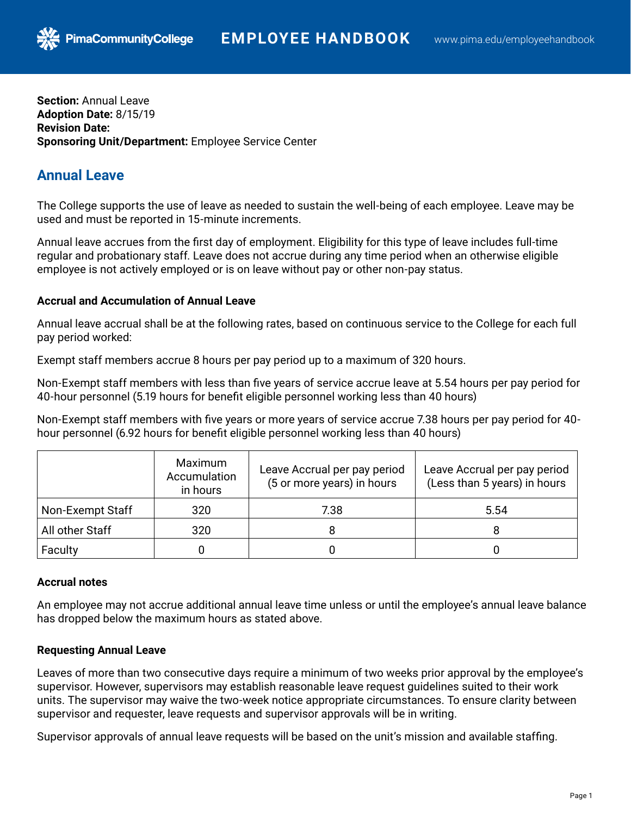**Section:** Annual Leave **Adoption Date:** 8/15/19 **Revision Date: Sponsoring Unit/Department:** Employee Service Center

**PimaCommunityCollege** 

# **Annual Leave**

The College supports the use of leave as needed to sustain the well-being of each employee. Leave may be used and must be reported in 15-minute increments.

Annual leave accrues from the first day of employment. Eligibility for this type of leave includes full-time regular and probationary staff. Leave does not accrue during any time period when an otherwise eligible employee is not actively employed or is on leave without pay or other non-pay status.

### **Accrual and Accumulation of Annual Leave**

Annual leave accrual shall be at the following rates, based on continuous service to the College for each full pay period worked:

Exempt staff members accrue 8 hours per pay period up to a maximum of 320 hours.

Non-Exempt staff members with less than five years of service accrue leave at 5.54 hours per pay period for 40-hour personnel (5.19 hours for benefit eligible personnel working less than 40 hours)

Non-Exempt staff members with five years or more years of service accrue 7.38 hours per pay period for 40 hour personnel (6.92 hours for benefit eligible personnel working less than 40 hours)

|                  | Maximum<br>Accumulation<br>in hours | Leave Accrual per pay period<br>(5 or more years) in hours | Leave Accrual per pay period<br>(Less than 5 years) in hours |
|------------------|-------------------------------------|------------------------------------------------------------|--------------------------------------------------------------|
| Non-Exempt Staff | 320                                 | 7.38                                                       | 5.54                                                         |
| All other Staff  | 320                                 |                                                            |                                                              |
| Faculty          |                                     |                                                            |                                                              |

## **Accrual notes**

An employee may not accrue additional annual leave time unless or until the employee's annual leave balance has dropped below the maximum hours as stated above.

## **Requesting Annual Leave**

Leaves of more than two consecutive days require a minimum of two weeks prior approval by the employee's supervisor. However, supervisors may establish reasonable leave request guidelines suited to their work units. The supervisor may waive the two-week notice appropriate circumstances. To ensure clarity between supervisor and requester, leave requests and supervisor approvals will be in writing.

Supervisor approvals of annual leave requests will be based on the unit's mission and available staffing.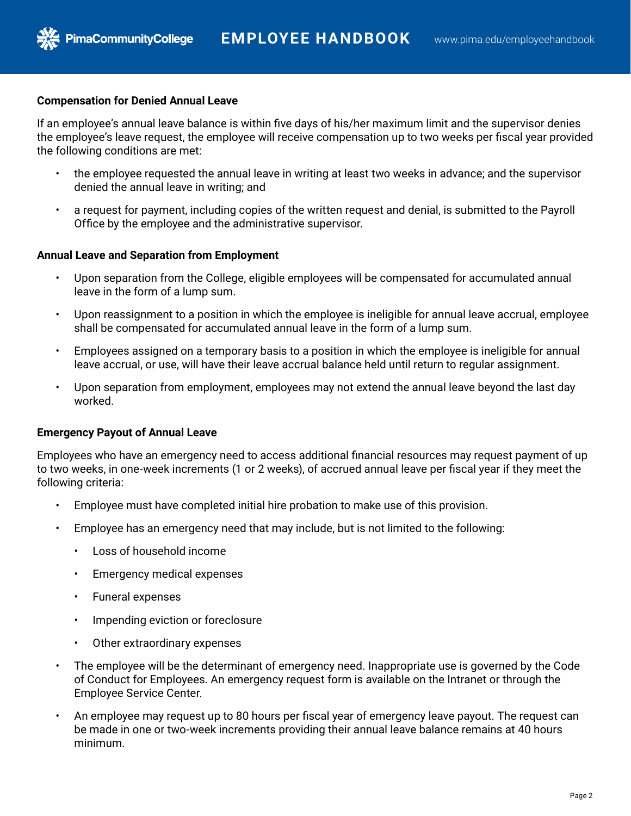#### **Compensation for Denied Annual Leave**

**PimaCommunityCollege** 

If an employee's annual leave balance is within five days of his/her maximum limit and the supervisor denies the employee's leave request, the employee will receive compensation up to two weeks per fiscal year provided the following conditions are met:

- the employee requested the annual leave in writing at least two weeks in advance; and the supervisor denied the annual leave in writing; and
- a request for payment, including copies of the written request and denial, is submitted to the Payroll Office by the employee and the administrative supervisor.

#### **Annual Leave and Separation from Employment**

- Upon separation from the College, eligible employees will be compensated for accumulated annual leave in the form of a lump sum.
- Upon reassignment to a position in which the employee is ineligible for annual leave accrual, employee shall be compensated for accumulated annual leave in the form of a lump sum.
- Employees assigned on a temporary basis to a position in which the employee is ineligible for annual leave accrual, or use, will have their leave accrual balance held until return to regular assignment.
- Upon separation from employment, employees may not extend the annual leave beyond the last day worked.

### **Emergency Payout of Annual Leave**

Employees who have an emergency need to access additional financial resources may request payment of up to two weeks, in one-week increments (1 or 2 weeks), of accrued annual leave per fiscal year if they meet the following criteria:

- Employee must have completed initial hire probation to make use of this provision.
- Employee has an emergency need that may include, but is not limited to the following:
	- Loss of household income
	- Emergency medical expenses
	- Funeral expenses
	- Impending eviction or foreclosure
	- Other extraordinary expenses
- The employee will be the determinant of emergency need. Inappropriate use is governed by the Code of Conduct for Employees. An emergency request form is available on the Intranet or through the Employee Service Center.
- An employee may request up to 80 hours per fiscal year of emergency leave payout. The request can be made in one or two-week increments providing their annual leave balance remains at 40 hours minimum.